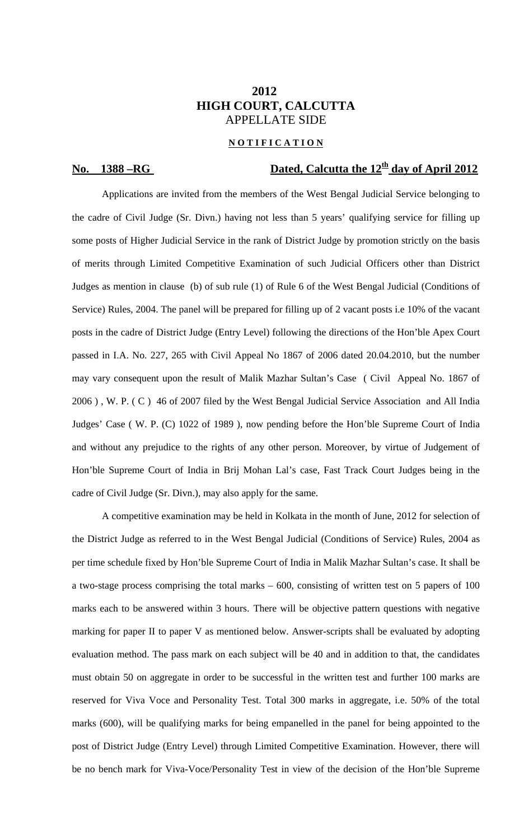## **2012 HIGH COURT, CALCUTTA**  APPELLATE SIDE

### **N O T I F I C A T I O N**

# **No.** 1388 – RG Dated, Calcutta the 12<sup>th</sup> day of April 2012

Applications are invited from the members of the West Bengal Judicial Service belonging to the cadre of Civil Judge (Sr. Divn.) having not less than 5 years' qualifying service for filling up some posts of Higher Judicial Service in the rank of District Judge by promotion strictly on the basis of merits through Limited Competitive Examination of such Judicial Officers other than District Judges as mention in clause (b) of sub rule (1) of Rule 6 of the West Bengal Judicial (Conditions of Service) Rules, 2004. The panel will be prepared for filling up of 2 vacant posts i.e 10% of the vacant posts in the cadre of District Judge (Entry Level) following the directions of the Hon'ble Apex Court passed in I.A. No. 227, 265 with Civil Appeal No 1867 of 2006 dated 20.04.2010, but the number may vary consequent upon the result of Malik Mazhar Sultan's Case ( Civil Appeal No. 1867 of 2006 ) , W. P. ( C ) 46 of 2007 filed by the West Bengal Judicial Service Association and All India Judges' Case ( W. P. (C) 1022 of 1989 ), now pending before the Hon'ble Supreme Court of India and without any prejudice to the rights of any other person. Moreover, by virtue of Judgement of Hon'ble Supreme Court of India in Brij Mohan Lal's case, Fast Track Court Judges being in the cadre of Civil Judge (Sr. Divn.), may also apply for the same.

 A competitive examination may be held in Kolkata in the month of June, 2012 for selection of the District Judge as referred to in the West Bengal Judicial (Conditions of Service) Rules, 2004 as per time schedule fixed by Hon'ble Supreme Court of India in Malik Mazhar Sultan's case. It shall be a two-stage process comprising the total marks – 600, consisting of written test on 5 papers of 100 marks each to be answered within 3 hours. There will be objective pattern questions with negative marking for paper II to paper V as mentioned below. Answer-scripts shall be evaluated by adopting evaluation method. The pass mark on each subject will be 40 and in addition to that, the candidates must obtain 50 on aggregate in order to be successful in the written test and further 100 marks are reserved for Viva Voce and Personality Test. Total 300 marks in aggregate, i.e. 50% of the total marks (600), will be qualifying marks for being empanelled in the panel for being appointed to the post of District Judge (Entry Level) through Limited Competitive Examination. However, there will be no bench mark for Viva-Voce/Personality Test in view of the decision of the Hon'ble Supreme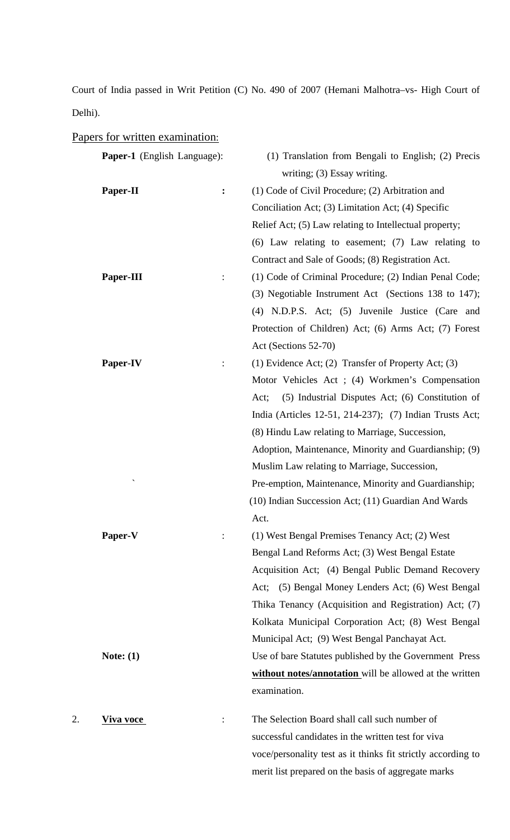Court of India passed in Writ Petition (C) No. 490 of 2007 (Hemani Malhotra–vs- High Court of Delhi).

## Papers for written examination:

|    | <b>Paper-1</b> (English Language): |                | (1) Translation from Bengali to English; (2) Precis          |
|----|------------------------------------|----------------|--------------------------------------------------------------|
|    |                                    |                | writing; (3) Essay writing.                                  |
|    | Paper-II                           | :              | (1) Code of Civil Procedure; (2) Arbitration and             |
|    |                                    |                | Conciliation Act; (3) Limitation Act; (4) Specific           |
|    |                                    |                | Relief Act; (5) Law relating to Intellectual property;       |
|    |                                    |                | $(6)$ Law relating to easement; $(7)$ Law relating to        |
|    |                                    |                | Contract and Sale of Goods; (8) Registration Act.            |
|    | Paper-III                          | $\ddot{\cdot}$ | (1) Code of Criminal Procedure; (2) Indian Penal Code;       |
|    |                                    |                | (3) Negotiable Instrument Act (Sections 138 to 147);         |
|    |                                    |                | (4) N.D.P.S. Act; (5) Juvenile Justice (Care and             |
|    |                                    |                | Protection of Children) Act; (6) Arms Act; (7) Forest        |
|    |                                    |                | Act (Sections 52-70)                                         |
|    | Paper-IV                           | $\ddot{\cdot}$ | (1) Evidence Act; (2) Transfer of Property Act; (3)          |
|    |                                    |                | Motor Vehicles Act ; (4) Workmen's Compensation              |
|    |                                    |                | (5) Industrial Disputes Act; (6) Constitution of<br>Act;     |
|    |                                    |                | India (Articles 12-51, 214-237); (7) Indian Trusts Act;      |
|    |                                    |                | (8) Hindu Law relating to Marriage, Succession,              |
|    |                                    |                | Adoption, Maintenance, Minority and Guardianship; (9)        |
|    |                                    |                | Muslim Law relating to Marriage, Succession,                 |
|    |                                    |                | Pre-emption, Maintenance, Minority and Guardianship;         |
|    |                                    |                | (10) Indian Succession Act; (11) Guardian And Wards          |
|    |                                    |                | Act.                                                         |
|    | Paper-V                            |                | (1) West Bengal Premises Tenancy Act; (2) West               |
|    |                                    |                | Bengal Land Reforms Act; (3) West Bengal Estate              |
|    |                                    |                | Acquisition Act; (4) Bengal Public Demand Recovery           |
|    |                                    |                | Act; (5) Bengal Money Lenders Act; (6) West Bengal           |
|    |                                    |                | Thika Tenancy (Acquisition and Registration) Act; (7)        |
|    |                                    |                | Kolkata Municipal Corporation Act; (8) West Bengal           |
|    |                                    |                | Municipal Act; (9) West Bengal Panchayat Act.                |
|    | Note: $(1)$                        |                | Use of bare Statutes published by the Government Press       |
|    |                                    |                | without notes/annotation will be allowed at the written      |
|    |                                    |                | examination.                                                 |
|    |                                    |                |                                                              |
| 2. | <b>Viva voce</b>                   |                | The Selection Board shall call such number of                |
|    |                                    |                | successful candidates in the written test for viva           |
|    |                                    |                | voce/personality test as it thinks fit strictly according to |

merit list prepared on the basis of aggregate marks